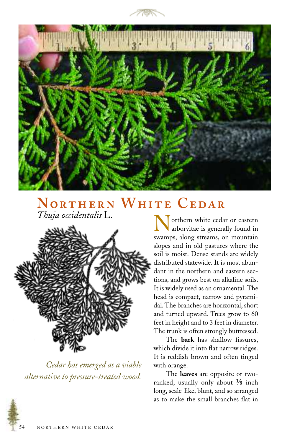



## **NORTHERN WHITE CEDAR**<br>Thuja occidentalis L.



*Cedar has emerged as a viable alternative to pressure-treated wood.*

Thuja occidentalis L.<br> **Northern** white cedar or eastern<br>
arborvitae is generally found in<br>
all the summer along streams on mountain swamps, along streams, on mountain slopes and in old pastures where the soil is moist. Dense stands are widely distributed statewide. It is most abundant in the northern and eastern sections, and grows best on alkaline soils. It is widely used as an ornamental. The head is compact, narrow and pyramidal. The branches are horizontal, short and turned upward. Trees grow to 60 feet in height and to 3 feet in diameter. The trunk is often strongly buttressed.

The **bark** has shallow fissures, which divide it into flat narrow ridges. It is reddish-brown and often tinged with orange.

The **leaves** are opposite or tworanked, usually only about  $\frac{1}{8}$  inch long, scale-like, blunt, and so arranged as to make the small branches flat in